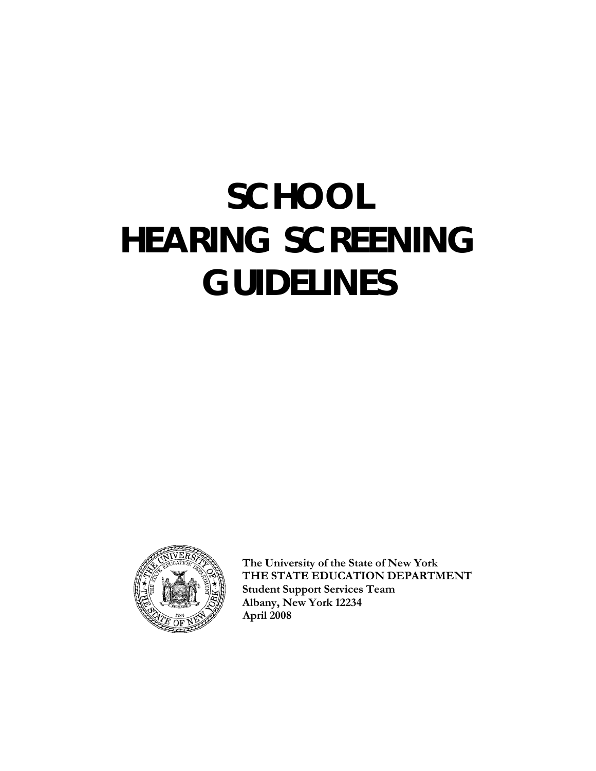# **SCHOOL HEARING SCREENING GUIDELINES**



**The University of the State of New York THE STATE EDUCATION DEPARTMENT Student Support Services Team Albany, New York 12234 April 2008**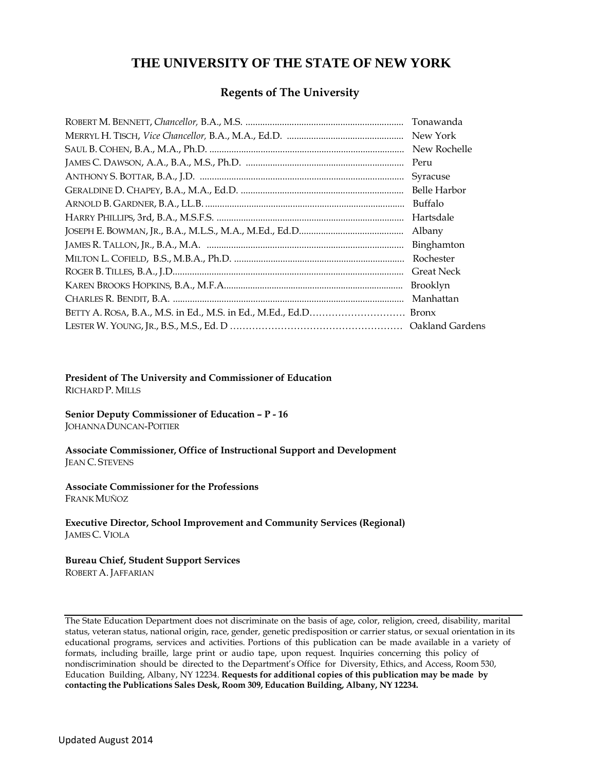# **THE UNIVERSITY OF THE STATE OF NEW YORK**

#### **Regents of The University**

| Tonawanda           |
|---------------------|
| New York            |
| New Rochelle        |
| Peru                |
| Syracuse            |
| <b>Belle Harbor</b> |
| Buffalo             |
| Hartsdale           |
| Albany              |
| Binghamton          |
| Rochester           |
|                     |
| Brooklyn            |
| Manhattan           |
|                     |
|                     |

#### **President of The University and Commissioner of Education** RICHARD P. MILLS

**Senior Deputy Commissioner of Education – P - 16** JOHANNADUNCAN-POITIER

**Associate Commissioner, Office of Instructional Support and Development** JEAN C. STEVENS

**Associate Commissioner for the Professions** FRANK MUÑOZ

**Executive Director, School Improvement and Community Services (Regional)** JAMES C. VIOLA

#### **Bureau Chief, Student Support Services**

ROBERT A. JAFFARIAN

The State Education Department does not discriminate on the basis of age, color, religion, creed, disability, marital status, veteran status, national origin, race, gender, genetic predisposition or carrier status, or sexual orientation in its educational programs, services and activities. Portions of this publication can be made available in a variety of formats, including braille, large print or audio tape, upon request. Inquiries concerning this policy of nondiscrimination should be directed to the Department's Office for Diversity, Ethics, and Access, Room 530, Education Building, Albany, NY 12234. **Requests for additional copies of this publication may be made by contacting the Publications Sales Desk, Room 309, Education Building, Albany, NY 12234.**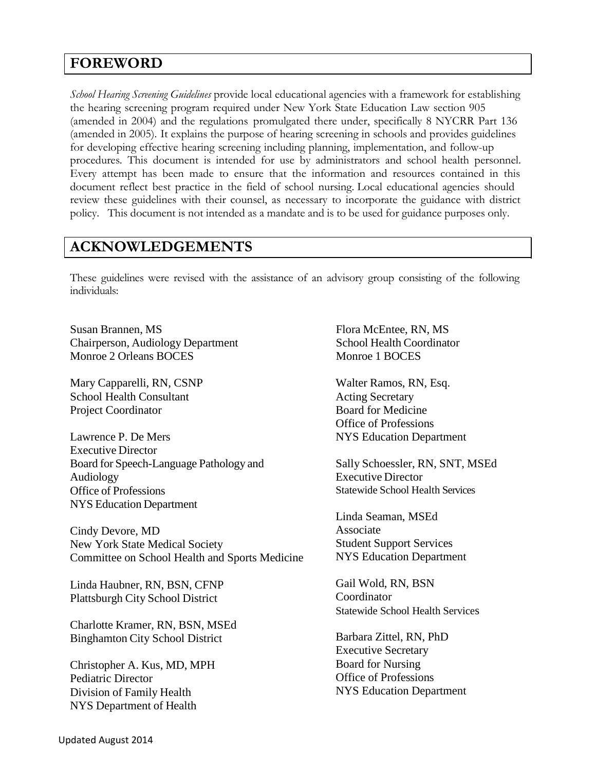# **FOREWORD**

*School Hearing Screening Guidelines* provide local educational agencies with a framework for establishing the hearing screening program required under New York State Education Law section 905 (amended in 2004) and the regulations promulgated there under, specifically 8 NYCRR Part 136 (amended in 2005). It explains the purpose of hearing screening in schools and provides guidelines for developing effective hearing screening including planning, implementation, and follow-up procedures. This document is intended for use by administrators and school health personnel. Every attempt has been made to ensure that the information and resources contained in this document reflect best practice in the field of school nursing. Local educational agencies should review these guidelines with their counsel, as necessary to incorporate the guidance with district policy. This document is not intended as a mandate and is to be used for guidance purposes only.

# **ACKNOWLEDGEMENTS**

These guidelines were revised with the assistance of an advisory group consisting of the following individuals:

Susan Brannen, MS Chairperson, Audiology Department Monroe 2 Orleans BOCES

Mary Capparelli, RN, CSNP School Health Consultant Project Coordinator

Lawrence P. De Mers Executive Director Board for Speech-Language Pathology and Audiology Office of Professions NYS Education Department

Cindy Devore, MD New York State Medical Society Committee on School Health and Sports Medicine

Linda Haubner, RN, BSN, CFNP Plattsburgh City School District

Charlotte Kramer, RN, BSN, MSEd Binghamton City School District

Christopher A. Kus, MD, MPH Pediatric Director Division of Family Health NYS Department of Health

Flora McEntee, RN, MS School Health Coordinator Monroe 1 BOCES

Walter Ramos, RN, Esq. Acting Secretary Board for Medicine Office of Professions NYS Education Department

Sally Schoessler, RN, SNT, MSEd Executive Director Statewide School Health Services

Linda Seaman, MSEd Associate Student Support Services NYS Education Department

Gail Wold, RN, BSN Coordinator Statewide School Health Services

Barbara Zittel, RN, PhD Executive Secretary Board for Nursing Office of Professions NYS Education Department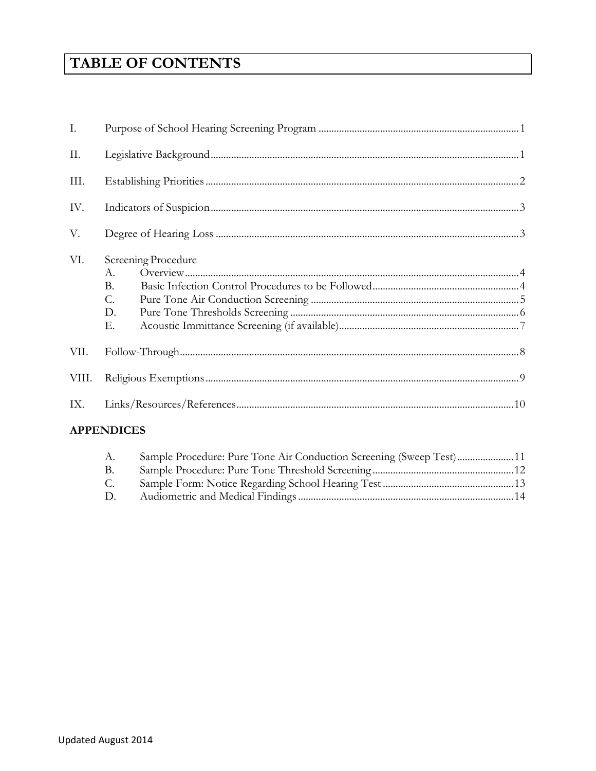# **TABLE OF CONTENTS**

| I.    |                                                          |  |  |
|-------|----------------------------------------------------------|--|--|
| II.   |                                                          |  |  |
| III.  |                                                          |  |  |
| IV.   |                                                          |  |  |
| V.    |                                                          |  |  |
| VI.   | Screening Procedure<br>A.<br>$\rm B$ .<br>C.<br>D.<br>Е. |  |  |
| VII.  |                                                          |  |  |
| VIII. |                                                          |  |  |
| IX.   |                                                          |  |  |

### **APPENDICES**

| A.     | Sample Procedure: Pure Tone Air Conduction Screening (Sweep Test)11 |  |
|--------|---------------------------------------------------------------------|--|
| - B.   |                                                                     |  |
| C.     |                                                                     |  |
| $\Box$ |                                                                     |  |
|        |                                                                     |  |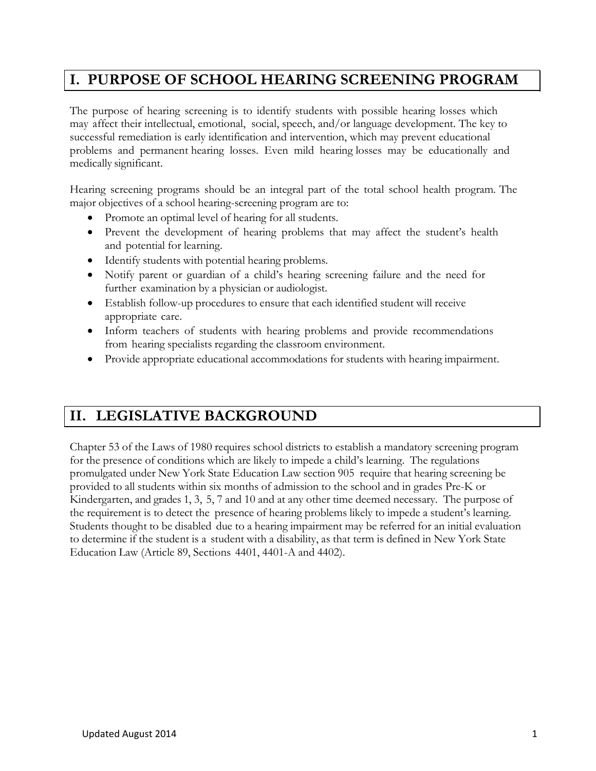# **I. PURPOSE OF SCHOOL HEARING SCREENING PROGRAM**

The purpose of hearing screening is to identify students with possible hearing losses which may affect their intellectual, emotional, social, speech, and/or language development. The key to successful remediation is early identification and intervention, which may prevent educational problems and permanent hearing losses. Even mild hearing losses may be educationally and medically significant.

Hearing screening programs should be an integral part of the total school health program. The major objectives of a school hearing-screening program are to:

- Promote an optimal level of hearing for all students.
- Prevent the development of hearing problems that may affect the student's health and potential for learning.
- Identify students with potential hearing problems.
- Notify parent or guardian of a child's hearing screening failure and the need for further examination by a physician or audiologist.
- Establish follow-up procedures to ensure that each identified student will receive appropriate care.
- Inform teachers of students with hearing problems and provide recommendations from hearing specialists regarding the classroom environment.
- Provide appropriate educational accommodations for students with hearing impairment.

# **II. LEGISLATIVE BACKGROUND**

Chapter 53 of the Laws of 1980 requires school districts to establish a mandatory screening program for the presence of conditions which are likely to impede a child's learning. The regulations promulgated under New York State Education Law section 905 require that hearing screening be provided to all students within six months of admission to the school and in grades Pre-K or Kindergarten, and grades 1, 3, 5, 7 and 10 and at any other time deemed necessary. The purpose of the requirement is to detect the presence of hearing problems likely to impede a student's learning. Students thought to be disabled due to a hearing impairment may be referred for an initial evaluation to determine if the student is a student with a disability, as that term is defined in New York State Education Law (Article 89, Sections 4401, 4401-A and 4402).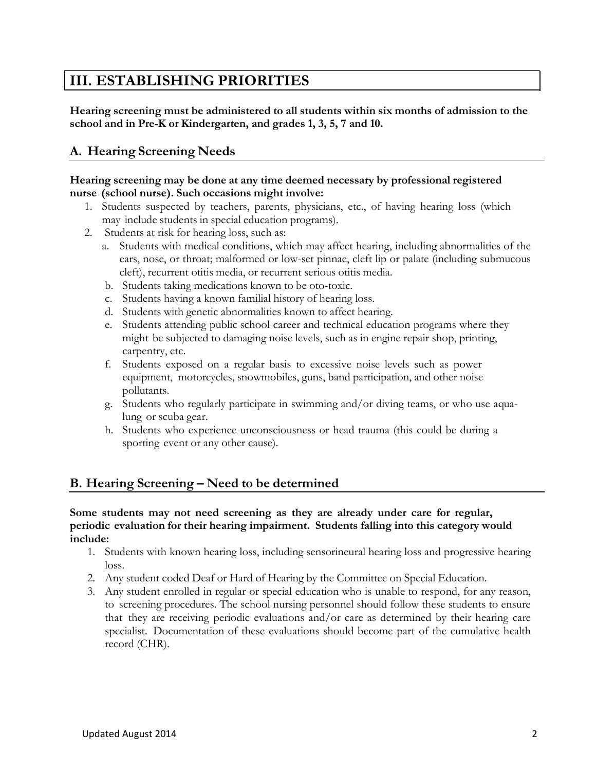# **III. ESTABLISHING PRIORITIES**

**Hearing screening must be administered to all students within six months of admission to the school and in Pre-K or Kindergarten, and grades 1, 3, 5, 7 and 10.**

# **A. Hearing Screening Needs**

#### **Hearing screening may be done at any time deemed necessary by professional registered nurse (school nurse). Such occasions might involve:**

- 1. Students suspected by teachers, parents, physicians, etc., of having hearing loss (which may include students in special education programs).
- 2. Students at risk for hearing loss, such as:
	- a. Students with medical conditions, which may affect hearing, including abnormalities of the ears, nose, or throat; malformed or low-set pinnae, cleft lip or palate (including submucous cleft), recurrent otitis media, or recurrent serious otitis media.
	- b. Students taking medications known to be oto-toxic.
	- c. Students having a known familial history of hearing loss.
	- d. Students with genetic abnormalities known to affect hearing.
	- e. Students attending public school career and technical education programs where they might be subjected to damaging noise levels, such as in engine repair shop, printing, carpentry, etc.
	- f. Students exposed on a regular basis to excessive noise levels such as power equipment, motorcycles, snowmobiles, guns, band participation, and other noise pollutants.
	- g. Students who regularly participate in swimming and/or diving teams, or who use aqualung or scuba gear.
	- h. Students who experience unconsciousness or head trauma (this could be during a sporting event or any other cause).

### **B. Hearing Screening – Need to be determined**

#### **Some students may not need screening as they are already under care for regular, periodic evaluation for their hearing impairment. Students falling into this category would include:**

- 1. Students with known hearing loss, including sensorineural hearing loss and progressive hearing loss.
- 2. Any student coded Deaf or Hard of Hearing by the Committee on Special Education.
- 3. Any student enrolled in regular or special education who is unable to respond, for any reason, to screening procedures. The school nursing personnel should follow these students to ensure that they are receiving periodic evaluations and/or care as determined by their hearing care specialist. Documentation of these evaluations should become part of the cumulative health record (CHR).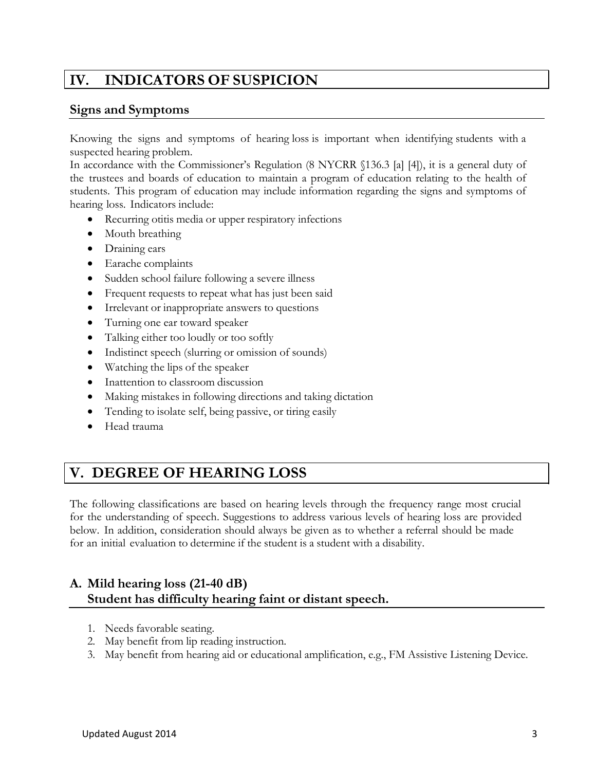#### **INDICATORS OF SUSPICION** IV.

#### **Signs and Symptoms**

Knowing the signs and symptoms of hearing loss is important when identifying students with a suspected hearing problem.

In accordance with the Commissioner's Regulation (8 NYCRR §136.3 [a] [4]), it is a general duty of the trustees and boards of education to maintain a program of education relating to the health of students. This program of education may include information regarding the signs and symptoms of hearing loss. Indicators include:

- Recurring otitis media or upper respiratory infections
- Mouth breathing
- Draining ears
- Earache complaints
- Sudden school failure following a severe illness
- Frequent requests to repeat what has just been said
- Irrelevant or inappropriate answers to questions
- Turning one ear toward speaker
- Talking either too loudly or too softly
- Indistinct speech (slurring or omission of sounds)
- Watching the lips of the speaker
- Inattention to classroom discussion
- Making mistakes in following directions and taking dictation
- Tending to isolate self, being passive, or tiring easily
- Head trauma

# **V. DEGREE OF HEARING LOSS**

The following classifications are based on hearing levels through the frequency range most crucial for the understanding of speech. Suggestions to address various levels of hearing loss are provided below. In addition, consideration should always be given as to whether a referral should be made for an initial evaluation to determine if the student is a student with a disability.

# **A. Mild hearing loss (21-40 dB) Student has difficulty hearing faint or distant speech.**

- 1. Needs favorable seating.
- 2. May benefit from lip reading instruction.
- 3. May benefit from hearing aid or educational amplification, e.g., FM Assistive Listening Device.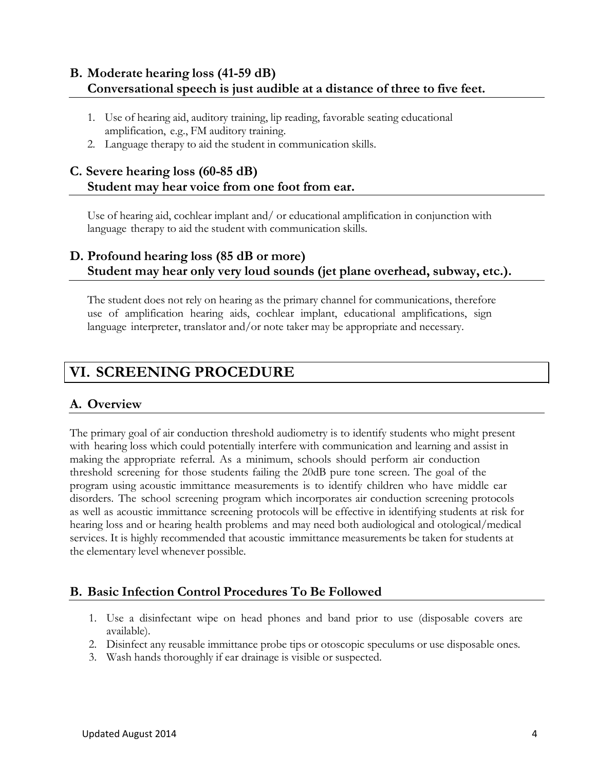# **B. Moderate hearing loss (41-59 dB) Conversational speech is just audible at a distance of three to five feet.**

- 1. Use of hearing aid, auditory training, lip reading, favorable seating educational amplification, e.g., FM auditory training.
- 2. Language therapy to aid the student in communication skills.

# **C. Severe hearing loss (60-85 dB) Student may hear voice from one foot from ear.**

Use of hearing aid, cochlear implant and/ or educational amplification in conjunction with language therapy to aid the student with communication skills.

### **D. Profound hearing loss (85 dB or more) Student may hear only very loud sounds (jet plane overhead, subway, etc.).**

The student does not rely on hearing as the primary channel for communications, therefore use of amplification hearing aids, cochlear implant, educational amplifications, sign language interpreter, translator and/or note taker may be appropriate and necessary.

# **VI. SCREENING PROCEDURE**

# <span id="page-7-0"></span>**A. Overview**

The primary goal of air conduction threshold audiometry is to identify students who might present with hearing loss which could potentially interfere with communication and learning and assist in making the appropriate referral. As a minimum, schools should perform air conduction threshold screening for those students failing the 20dB pure tone screen. The goal of the program using acoustic immittance measurements is to identify children who have middle ear disorders. The school screening program which incorporates air conduction screening protocols as well as acoustic immittance screening protocols will be effective in identifying students at risk for hearing loss and or hearing health problems and may need both audiological and otological/medical services. It is highly recommended that acoustic immittance measurements be taken for students at the elementary level whenever possible.

### <span id="page-7-1"></span>**B. Basic Infection Control Procedures To Be Followed**

- 1. Use a disinfectant wipe on head phones and band prior to use (disposable covers are available).
- 2. Disinfect any reusable immittance probe tips or otoscopic speculums or use disposable ones.
- 3. Wash hands thoroughly if ear drainage is visible or suspected.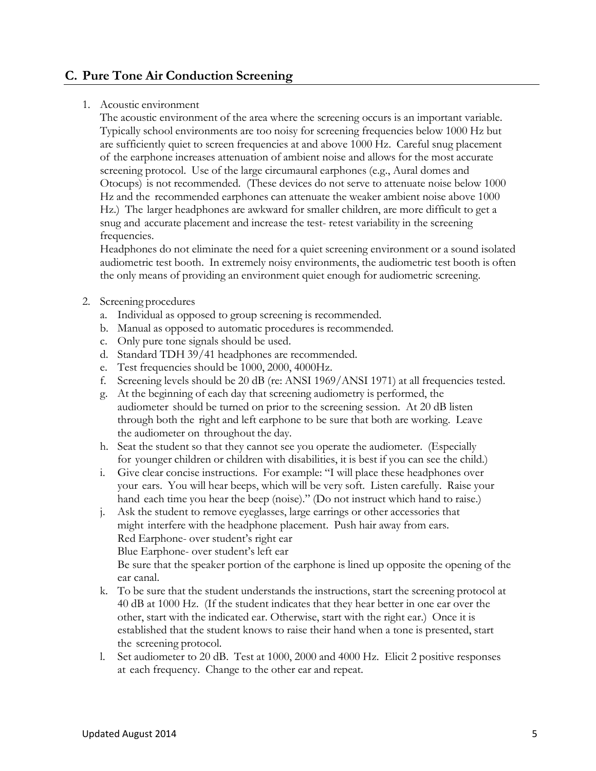#### <span id="page-8-0"></span>**C. Pure Tone Air Conduction Screening**

#### 1. Acoustic environment

The acoustic environment of the area where the screening occurs is an important variable. Typically school environments are too noisy for screening frequencies below 1000 Hz but are sufficiently quiet to screen frequencies at and above 1000 Hz. Careful snug placement of the earphone increases attenuation of ambient noise and allows for the most accurate screening protocol. Use of the large circumaural earphones (e.g., Aural domes and Otocups) is not recommended. (These devices do not serve to attenuate noise below 1000 Hz and the recommended earphones can attenuate the weaker ambient noise above 1000 Hz.) The larger headphones are awkward for smaller children, are more difficult to get a snug and accurate placement and increase the test- retest variability in the screening frequencies.

Headphones do not eliminate the need for a quiet screening environment or a sound isolated audiometric test booth. In extremely noisy environments, the audiometric test booth is often the only means of providing an environment quiet enough for audiometric screening.

#### 2. Screening procedures

- a. Individual as opposed to group screening is recommended.
- b. Manual as opposed to automatic procedures is recommended.
- c. Only pure tone signals should be used.
- d. Standard TDH 39/41 headphones are recommended.
- e. Test frequencies should be 1000, 2000, 4000Hz.
- f. Screening levels should be 20 dB (re: ANSI 1969/ANSI 1971) at all frequencies tested.
- g. At the beginning of each day that screening audiometry is performed, the audiometer should be turned on prior to the screening session. At 20 dB listen through both the right and left earphone to be sure that both are working. Leave the audiometer on throughout the day.
- h. Seat the student so that they cannot see you operate the audiometer. (Especially for younger children or children with disabilities, it is best if you can see the child.)
- i. Give clear concise instructions. For example: "I will place these headphones over your ears. You will hear beeps, which will be very soft. Listen carefully. Raise your hand each time you hear the beep (noise)." (Do not instruct which hand to raise.)
- j. Ask the student to remove eyeglasses, large earrings or other accessories that might interfere with the headphone placement. Push hair away from ears. Red Earphone- over student's right ear Blue Earphone- over student's left ear

Be sure that the speaker portion of the earphone is lined up opposite the opening of the ear canal.

- k. To be sure that the student understands the instructions, start the screening protocol at 40 dB at 1000 Hz. (If the student indicates that they hear better in one ear over the other, start with the indicated ear. Otherwise, start with the right ear.) Once it is established that the student knows to raise their hand when a tone is presented, start the screening protocol.
- l. Set audiometer to 20 dB. Test at 1000, 2000 and 4000 Hz. Elicit 2 positive responses at each frequency. Change to the other ear and repeat.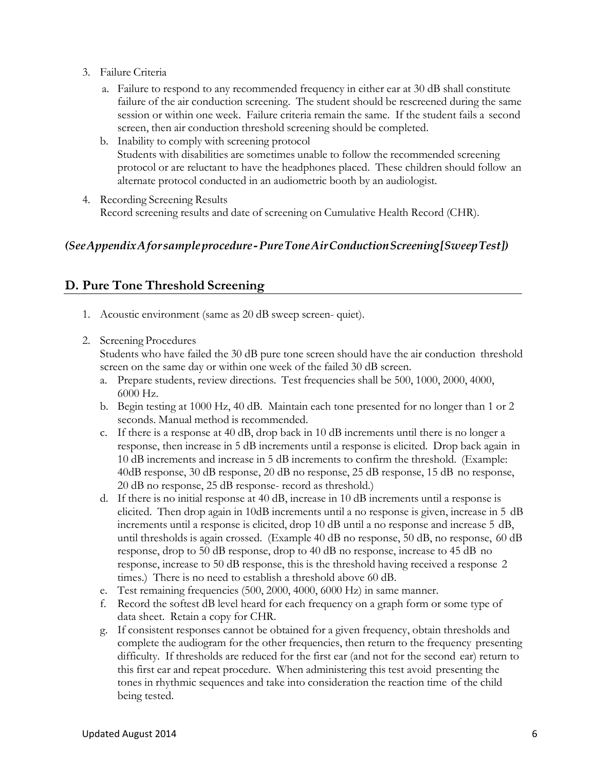- 3. Failure Criteria
	- a. Failure to respond to any recommended frequency in either ear at 30 dB shall constitute failure of the air conduction screening. The student should be rescreened during the same session or within one week. Failure criteria remain the same. If the student fails a second screen, then air conduction threshold screening should be completed.
	- b. Inability to comply with screening protocol Students with disabilities are sometimes unable to follow the recommended screening protocol or are reluctant to have the headphones placed. These children should follow an alternate protocol conducted in an audiometric booth by an audiologist.
- 4. Recording Screening Results Record screening results and date of screening on Cumulative Health Record (CHR).

#### *(SeeAppendixAforsampleprocedure-PureToneAirConductionScreening[SweepTest])*

### **D. Pure Tone Threshold Screening**

- 1. Acoustic environment (same as 20 dB sweep screen- quiet).
- 2. Screening Procedures

Students who have failed the 30 dB pure tone screen should have the air conduction threshold screen on the same day or within one week of the failed 30 dB screen.

- a. Prepare students, review directions. Test frequencies shall be 500, 1000, 2000, 4000, 6000 Hz.
- b. Begin testing at 1000 Hz, 40 dB. Maintain each tone presented for no longer than 1 or 2 seconds. Manual method is recommended.
- c. If there is a response at 40 dB, drop back in 10 dB increments until there is no longer a response, then increase in 5 dB increments until a response is elicited. Drop back again in 10 dB increments and increase in 5 dB increments to confirm the threshold. (Example: 40dB response, 30 dB response, 20 dB no response, 25 dB response, 15 dB no response, 20 dB no response, 25 dB response- record as threshold.)
- d. If there is no initial response at 40 dB, increase in 10 dB increments until a response is elicited. Then drop again in 10dB increments until a no response is given, increase in 5 dB increments until a response is elicited, drop 10 dB until a no response and increase 5 dB, until thresholds is again crossed. (Example 40 dB no response, 50 dB, no response, 60 dB response, drop to 50 dB response, drop to 40 dB no response, increase to 45 dB no response, increase to 50 dB response, this is the threshold having received a response 2 times.) There is no need to establish a threshold above 60 dB.
- e. Test remaining frequencies (500, 2000, 4000, 6000 Hz) in same manner.
- f. Record the softest dB level heard for each frequency on a graph form or some type of data sheet. Retain a copy for CHR.
- g. If consistent responses cannot be obtained for a given frequency, obtain thresholds and complete the audiogram for the other frequencies, then return to the frequency presenting difficulty. If thresholds are reduced for the first ear (and not for the second ear) return to this first ear and repeat procedure. When administering this test avoid presenting the tones in rhythmic sequences and take into consideration the reaction time of the child being tested.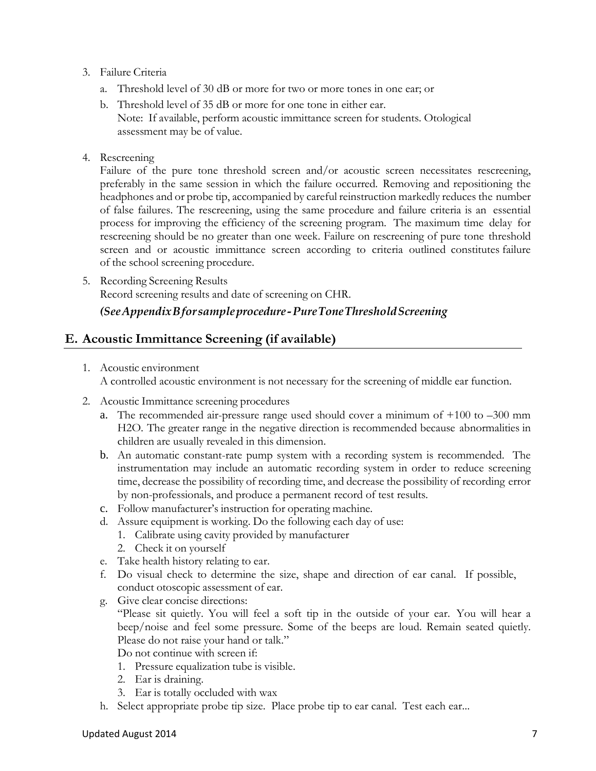#### 3. Failure Criteria

- a. Threshold level of 30 dB or more for two or more tones in one ear; or
- b. Threshold level of 35 dB or more for one tone in either ear. Note: If available, perform acoustic immittance screen for students. Otological assessment may be of value.
- 4. Rescreening

Failure of the pure tone threshold screen and/or acoustic screen necessitates rescreening, preferably in the same session in which the failure occurred. Removing and repositioning the headphones and or probe tip, accompanied by careful reinstruction markedly reduces the number of false failures. The rescreening, using the same procedure and failure criteria is an essential process for improving the efficiency of the screening program. The maximum time delay for rescreening should be no greater than one week. Failure on rescreening of pure tone threshold screen and or acoustic immittance screen according to criteria outlined constitutes failure of the school screening procedure.

5. Recording Screening Results Record screening results and date of screening on CHR.

#### *(SeeAppendixBforsampleprocedure-PureToneThresholdScreening*

#### <span id="page-10-0"></span>**E. Acoustic Immittance Screening (if available)**

1. Acoustic environment

A controlled acoustic environment is not necessary for the screening of middle ear function.

- 2. Acoustic Immittance screening procedures
	- a. The recommended air-pressure range used should cover a minimum of  $+100$  to  $-300$  mm H2O. The greater range in the negative direction is recommended because abnormalities in children are usually revealed in this dimension.
	- b. An automatic constant-rate pump system with a recording system is recommended. The instrumentation may include an automatic recording system in order to reduce screening time, decrease the possibility of recording time, and decrease the possibility of recording error by non-professionals, and produce a permanent record of test results.
	- c. Follow manufacturer's instruction for operating machine.
	- d. Assure equipment is working. Do the following each day of use:
		- 1. Calibrate using cavity provided by manufacturer
		- 2. Check it on yourself
	- e. Take health history relating to ear.
	- f. Do visual check to determine the size, shape and direction of ear canal. If possible, conduct otoscopic assessment of ear.
	- g. Give clear concise directions: "Please sit quietly. You will feel a soft tip in the outside of your ear. You will hear a beep/noise and feel some pressure. Some of the beeps are loud. Remain seated quietly. Please do not raise your hand or talk." Do not continue with screen if:
		- 1. Pressure equalization tube is visible.
		- 2. Ear is draining.
		- 3. Ear is totally occluded with wax
	- h. Select appropriate probe tip size. Place probe tip to ear canal. Test each ear...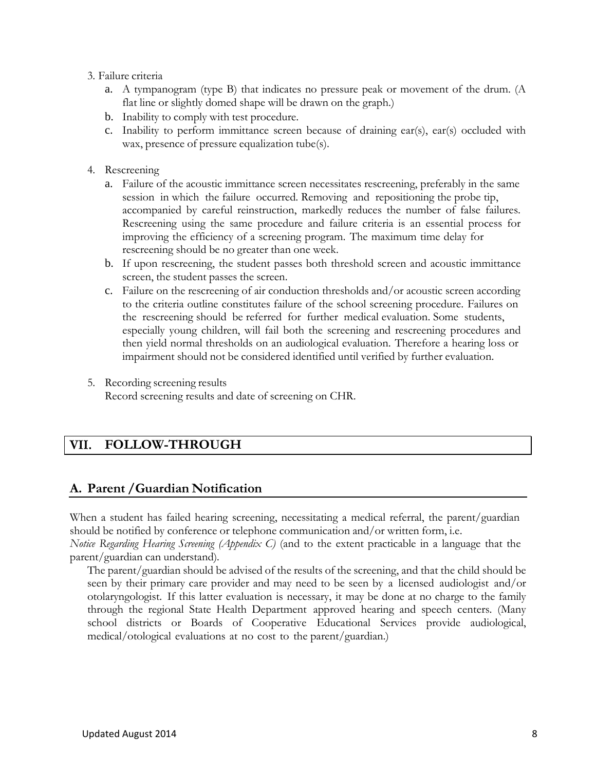- 3. Failure criteria
	- a. A tympanogram (type B) that indicates no pressure peak or movement of the drum. (A flat line or slightly domed shape will be drawn on the graph.)
	- b. Inability to comply with test procedure.
	- c. Inability to perform immittance screen because of draining ear(s), ear(s) occluded with wax, presence of pressure equalization tube(s).
- 4. Rescreening
	- a. Failure of the acoustic immittance screen necessitates rescreening, preferably in the same session in which the failure occurred. Removing and repositioning the probe tip, accompanied by careful reinstruction, markedly reduces the number of false failures. Rescreening using the same procedure and failure criteria is an essential process for improving the efficiency of a screening program. The maximum time delay for rescreening should be no greater than one week.
	- b. If upon rescreening, the student passes both threshold screen and acoustic immittance screen, the student passes the screen.
	- c. Failure on the rescreening of air conduction thresholds and/or acoustic screen according to the criteria outline constitutes failure of the school screening procedure. Failures on the rescreening should be referred for further medical evaluation. Some students, especially young children, will fail both the screening and rescreening procedures and then yield normal thresholds on an audiological evaluation. Therefore a hearing loss or impairment should not be considered identified until verified by further evaluation.
- 5. Recording screening results Record screening results and date of screening on CHR.

#### VII. **FOLLOW-THROUGH**

### **A. Parent /Guardian Notification**

When a student has failed hearing screening, necessitating a medical referral, the parent/guardian should be notified by conference or telephone communication and/or written form, i.e.

*Notice Regarding Hearing Screening (Appendix C)* (and to the extent practicable in a language that the parent/guardian can understand)*.*

The parent/guardian should be advised of the results of the screening, and that the child should be seen by their primary care provider and may need to be seen by a licensed audiologist and/or otolaryngologist. If this latter evaluation is necessary, it may be done at no charge to the family through the regional State Health Department approved hearing and speech centers. (Many school districts or Boards of Cooperative Educational Services provide audiological, medical/otological evaluations at no cost to the parent/guardian.)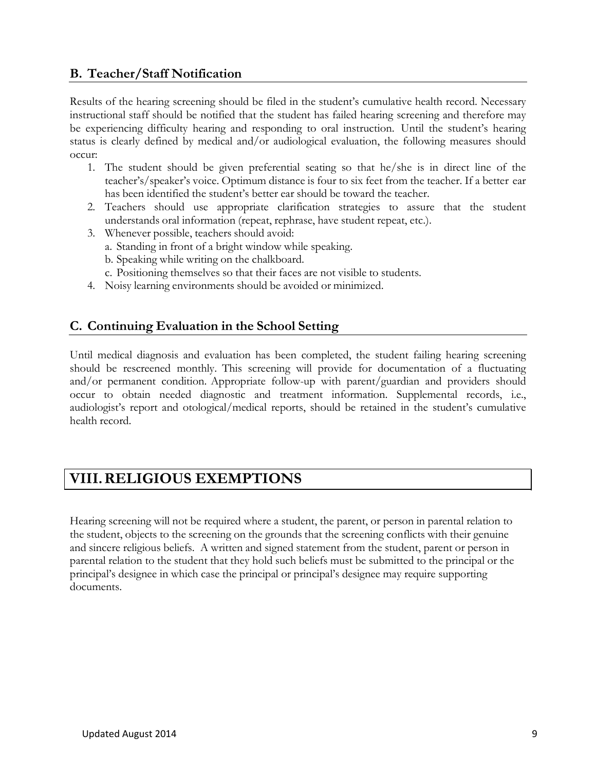# **B. Teacher/Staff Notification**

Results of the hearing screening should be filed in the student's cumulative health record. Necessary instructional staff should be notified that the student has failed hearing screening and therefore may be experiencing difficulty hearing and responding to oral instruction. Until the student's hearing status is clearly defined by medical and/or audiological evaluation, the following measures should occur:

- 1. The student should be given preferential seating so that he/she is in direct line of the teacher's/speaker's voice. Optimum distance is four to six feet from the teacher. If a better ear has been identified the student's better ear should be toward the teacher.
- 2. Teachers should use appropriate clarification strategies to assure that the student understands oral information (repeat, rephrase, have student repeat, etc.).
- 3. Whenever possible, teachers should avoid:
	- a. Standing in front of a bright window while speaking.
	- b. Speaking while writing on the chalkboard.
	- c. Positioning themselves so that their faces are not visible to students.
- 4. Noisy learning environments should be avoided or minimized.

# **C. Continuing Evaluation in the School Setting**

Until medical diagnosis and evaluation has been completed, the student failing hearing screening should be rescreened monthly. This screening will provide for documentation of a fluctuating and/or permanent condition. Appropriate follow-up with parent/guardian and providers should occur to obtain needed diagnostic and treatment information. Supplemental records, i.e., audiologist's report and otological/medical reports, should be retained in the student's cumulative health record.

# **VIII.RELIGIOUS EXEMPTIONS**

Hearing screening will not be required where a student, the parent, or person in parental relation to the student, objects to the screening on the grounds that the screening conflicts with their genuine and sincere religious beliefs. A written and signed statement from the student, parent or person in parental relation to the student that they hold such beliefs must be submitted to the principal or the principal's designee in which case the principal or principal's designee may require supporting documents.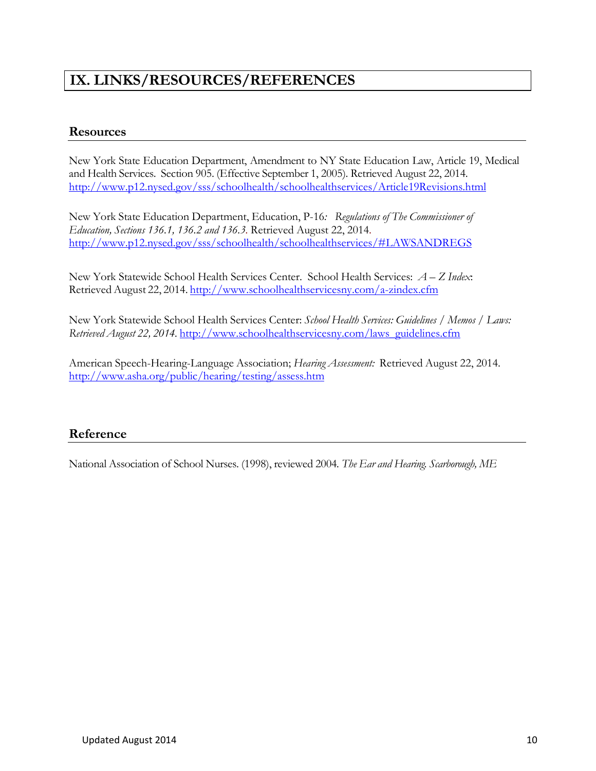# **IX. LINKS/RESOURCES/REFERENCES**

#### **Resources**

New York State Education Department, Amendment to NY State Education Law, Article 19, Medical and Health Services. Section 905. (Effective September 1, 2005). Retrieved August 22, 2014. <http://www.p12.nysed.gov/sss/schoolhealth/schoolhealthservices/Article19Revisions.html>

New York State Education Department, Education, P-16*: Regulations of The Commissioner of Education, Sections 136.1, 136.2 and 136.3.* Retrieved August 22, 2014. [http://www.p12.nysed.gov/sss/schoolhealth/schoolhealthservices/#LAWSANDREGS](http://www.p12.nysed.gov/sss/schoolhealth/schoolhealthservices/%23LAWSANDREGS)

New York Statewide School Health Services Center. School Health Services: *A – Z Index*: Retrieved August 22, 2014. <http://www.schoolhealthservicesny.com/a-zindex.cfm>

New York Statewide School Health Services Center: *School Health Services: Guidelines / Memos / Laws: Retrieved August 22, 2014.* [http://www.schoolhealthservicesny.com/laws\\_guidelines.cfm](http://www.schoolhealthservicesny.com/laws_guidelines.cfm)

American Speech-Hearing-Language Association; *Hearing Assessment:* Retrieved August 22, 2014. <http://www.asha.org/public/hearing/testing/assess.htm>

### **Reference**

National Association of School Nurses. (1998), reviewed 2004*. The Ear and Hearing. Scarborough, ME*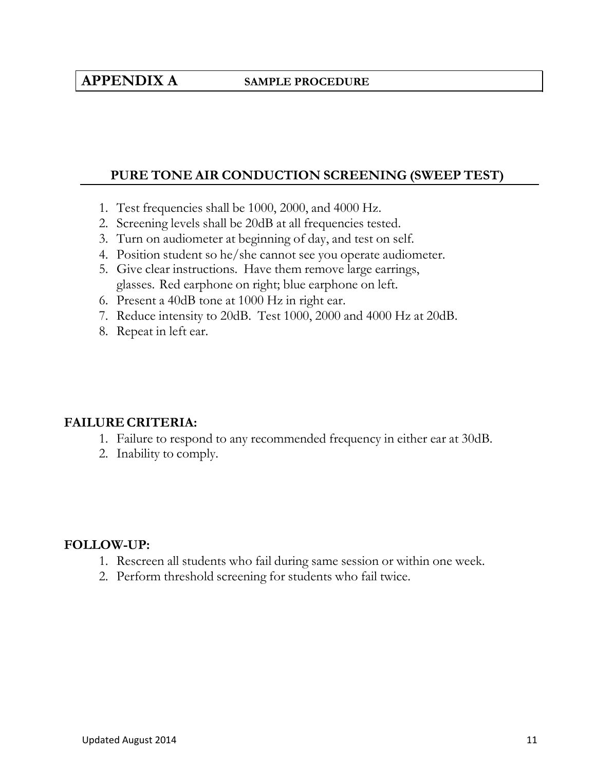# **APPENDIX A SAMPLE PROCEDURE**

#### **PURE TONE AIR CONDUCTION SCREENING (SWEEP TEST)**

- 1. Test frequencies shall be 1000, 2000, and 4000 Hz.
- 2. Screening levels shall be 20dB at all frequencies tested.
- 3. Turn on audiometer at beginning of day, and test on self.
- 4. Position student so he/she cannot see you operate audiometer.
- 5. Give clear instructions. Have them remove large earrings, glasses. Red earphone on right; blue earphone on left.
- 6. Present a 40dB tone at 1000 Hz in right ear.
- 7. Reduce intensity to 20dB. Test 1000, 2000 and 4000 Hz at 20dB.
- 8. Repeat in left ear.

#### **FAILURE CRITERIA:**

- 1. Failure to respond to any recommended frequency in either ear at 30dB.
- 2. Inability to comply.

#### **FOLLOW-UP:**

- 1. Rescreen all students who fail during same session or within one week.
- 2. Perform threshold screening for students who fail twice.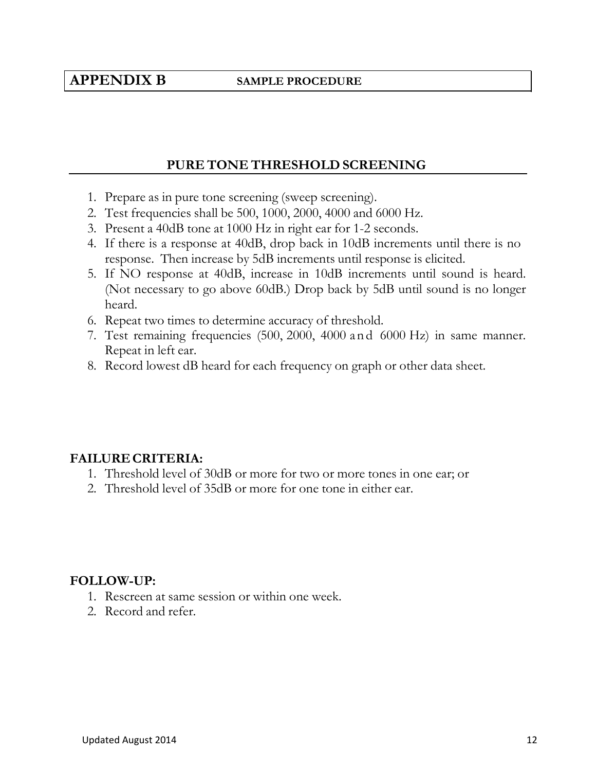# **APPENDIX B SAMPLE PROCEDURE**

### **PURE TONE THRESHOLD SCREENING**

- 1. Prepare as in pure tone screening (sweep screening).
- 2. Test frequencies shall be 500, 1000, 2000, 4000 and 6000 Hz.
- 3. Present a 40dB tone at 1000 Hz in right ear for 1-2 seconds.
- 4. If there is a response at 40dB, drop back in 10dB increments until there is no response. Then increase by 5dB increments until response is elicited.
- 5. If NO response at 40dB, increase in 10dB increments until sound is heard. (Not necessary to go above 60dB.) Drop back by 5dB until sound is no longer heard.
- 6. Repeat two times to determine accuracy of threshold.
- 7. Test remaining frequencies (500, 2000, 4000 and 6000 Hz) in same manner. Repeat in left ear.
- 8. Record lowest dB heard for each frequency on graph or other data sheet.

### **FAILURE CRITERIA:**

- 1. Threshold level of 30dB or more for two or more tones in one ear; or
- 2. Threshold level of 35dB or more for one tone in either ear.

#### **FOLLOW-UP:**

- 1. Rescreen at same session or within one week.
- 2. Record and refer.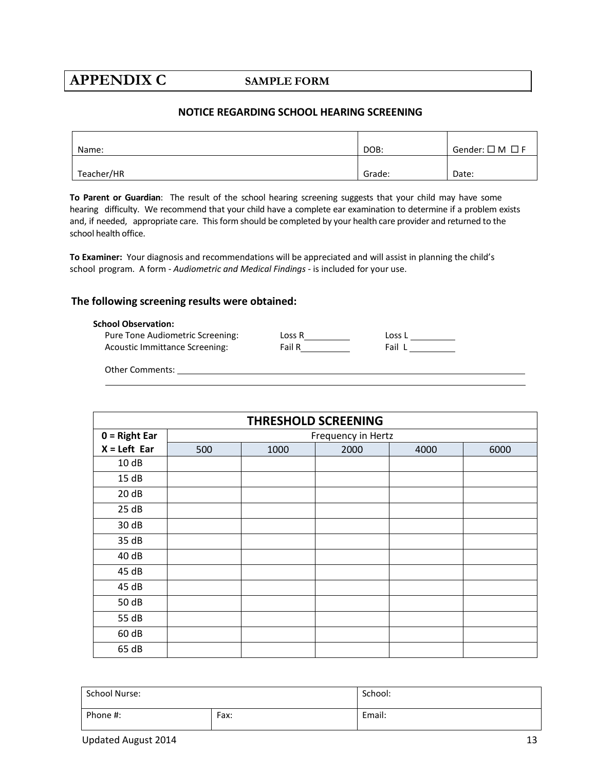# **APPENDIX C SAMPLE FORM**

#### **NOTICE REGARDING SCHOOL HEARING SCREENING**

| Name:      | DOB:   | Gender: $\square$ M $\square$ F |
|------------|--------|---------------------------------|
| Teacher/HR | Grade: | Date:                           |

**To Parent or Guardian**: The result of the school hearing screening suggests that your child may have some hearing difficulty. We recommend that your child have a complete ear examination to determine if a problem exists and, if needed, appropriate care. Thisform should be completed by your health care provider and returned to the school health office.

**To Examiner:** Your diagnosis and recommendations will be appreciated and will assist in planning the child's school program. A form - *Audiometric and Medical Findings -* is included for your use.

#### **The following screening results were obtained:**

#### **School Observation:**

| Pure Tone Audiometric Screening: | Loss R | Loss L |
|----------------------------------|--------|--------|
| Acoustic Immittance Screening:   | Fail R | Fail L |

Other Comments:

| <b>THRESHOLD SCREENING</b> |     |      |                    |      |      |
|----------------------------|-----|------|--------------------|------|------|
| $0 = Right Ear$            |     |      | Frequency in Hertz |      |      |
| $X = Left$ Ear             | 500 | 1000 | 2000               | 4000 | 6000 |
| 10dB                       |     |      |                    |      |      |
| 15dB                       |     |      |                    |      |      |
| 20dB                       |     |      |                    |      |      |
| 25 dB                      |     |      |                    |      |      |
| 30 dB                      |     |      |                    |      |      |
| 35 dB                      |     |      |                    |      |      |
| 40 dB                      |     |      |                    |      |      |
| 45 dB                      |     |      |                    |      |      |
| 45 dB                      |     |      |                    |      |      |
| 50 dB                      |     |      |                    |      |      |
| 55 dB                      |     |      |                    |      |      |
| 60 dB                      |     |      |                    |      |      |
| 65 dB                      |     |      |                    |      |      |

| <b>School Nurse:</b> |      | School: |
|----------------------|------|---------|
| Phone #:             | Fax: | Email:  |